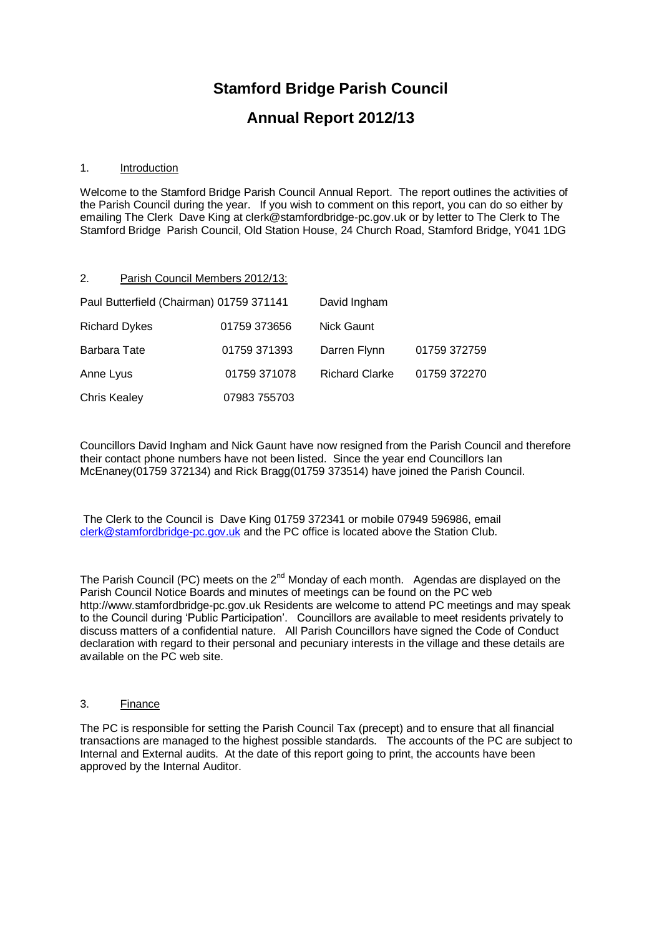# **Stamford Bridge Parish Council**

## **Annual Report 2012/13**

#### 1. Introduction

Welcome to the Stamford Bridge Parish Council Annual Report. The report outlines the activities of the Parish Council during the year. If you wish to comment on this report, you can do so either by emailing The Clerk Dave King at clerk@stamfordbridge-pc.gov.uk or by letter to The Clerk to The Stamford Bridge Parish Council, Old Station House, 24 Church Road, Stamford Bridge, Y041 1DG

#### 2. Parish Council Members 2012/13:

| Paul Butterfield (Chairman) 01759 371141 |              | David Ingham          |              |
|------------------------------------------|--------------|-----------------------|--------------|
| <b>Richard Dykes</b>                     | 01759 373656 | <b>Nick Gaunt</b>     |              |
| Barbara Tate                             | 01759 371393 | Darren Flynn          | 01759 372759 |
| Anne Lyus                                | 01759 371078 | <b>Richard Clarke</b> | 01759 372270 |
| <b>Chris Kealey</b>                      | 07983 755703 |                       |              |

Councillors David Ingham and Nick Gaunt have now resigned from the Parish Council and therefore their contact phone numbers have not been listed. Since the year end Councillors Ian McEnaney(01759 372134) and Rick Bragg(01759 373514) have joined the Parish Council.

The Clerk to the Council is Dave King 01759 372341 or mobile 07949 596986, email [clerk@stamfordbridge-pc.gov.uk](mailto:clerk@stamfordbridge-pc.gov.uk) and the PC office is located above the Station Club.

The Parish Council (PC) meets on the  $2^{nd}$  Monday of each month. Agendas are displayed on the Parish Council Notice Boards and minutes of meetings can be found on the PC web http://www.stamfordbridge-pc.gov.uk Residents are welcome to attend PC meetings and may speak to the Council during 'Public Participation'. Councillors are available to meet residents privately to discuss matters of a confidential nature. All Parish Councillors have signed the Code of Conduct declaration with regard to their personal and pecuniary interests in the village and these details are available on the PC web site.

### 3. Finance

The PC is responsible for setting the Parish Council Tax (precept) and to ensure that all financial transactions are managed to the highest possible standards. The accounts of the PC are subject to Internal and External audits. At the date of this report going to print, the accounts have been approved by the Internal Auditor.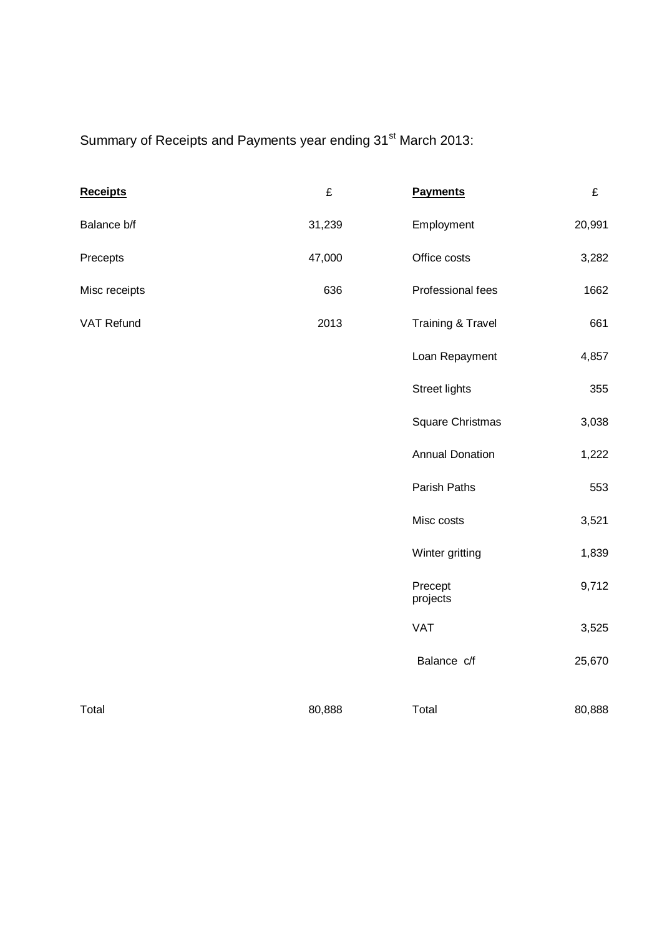Summary of Receipts and Payments year ending 31<sup>st</sup> March 2013:

| <b>Receipts</b> | £      | <b>Payments</b>              | £      |
|-----------------|--------|------------------------------|--------|
| Balance b/f     | 31,239 | Employment                   | 20,991 |
| Precepts        | 47,000 | Office costs                 | 3,282  |
| Misc receipts   | 636    | Professional fees            | 1662   |
| VAT Refund      | 2013   | <b>Training &amp; Travel</b> | 661    |
|                 |        | Loan Repayment               | 4,857  |
|                 |        | <b>Street lights</b>         | 355    |
|                 |        | Square Christmas             | 3,038  |
|                 |        | <b>Annual Donation</b>       | 1,222  |
|                 |        | Parish Paths                 | 553    |
|                 |        | Misc costs                   | 3,521  |
|                 |        | Winter gritting              | 1,839  |
|                 |        | Precept<br>projects          | 9,712  |
|                 |        | <b>VAT</b>                   | 3,525  |
|                 |        | Balance c/f                  | 25,670 |
| Total           | 80,888 | Total                        | 80,888 |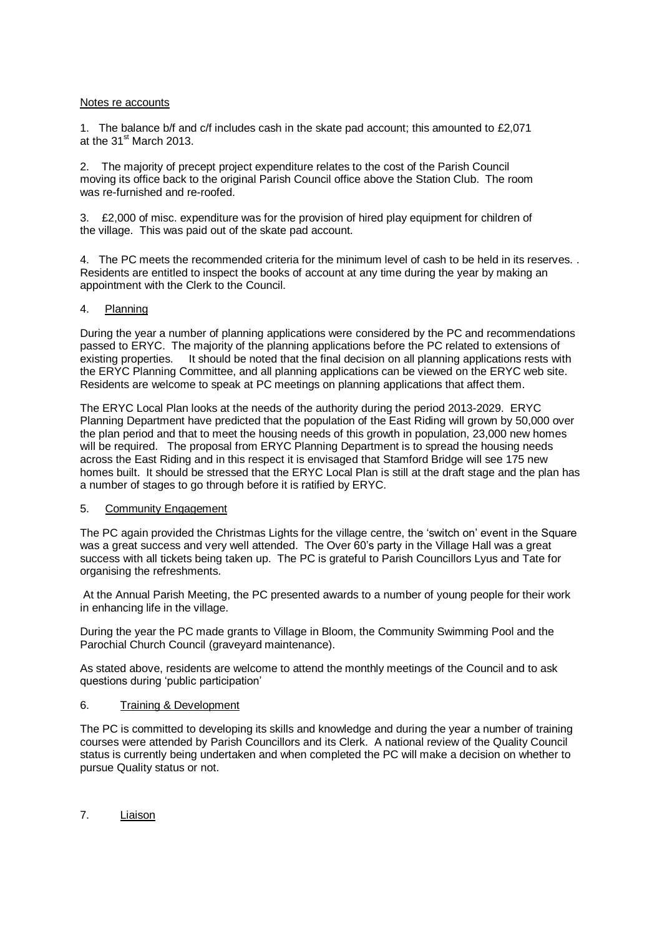#### Notes re accounts

1. The balance b/f and c/f includes cash in the skate pad account; this amounted to £2,071 at the  $31<sup>st</sup>$  March 2013.

2. The majority of precept project expenditure relates to the cost of the Parish Council moving its office back to the original Parish Council office above the Station Club. The room was re-furnished and re-roofed.

3. £2,000 of misc. expenditure was for the provision of hired play equipment for children of the village. This was paid out of the skate pad account.

4. The PC meets the recommended criteria for the minimum level of cash to be held in its reserves. . Residents are entitled to inspect the books of account at any time during the year by making an appointment with the Clerk to the Council.

#### 4. Planning

During the year a number of planning applications were considered by the PC and recommendations passed to ERYC. The majority of the planning applications before the PC related to extensions of existing properties. It should be noted that the final decision on all planning applications rests with the ERYC Planning Committee, and all planning applications can be viewed on the ERYC web site. Residents are welcome to speak at PC meetings on planning applications that affect them.

The ERYC Local Plan looks at the needs of the authority during the period 2013-2029. ERYC Planning Department have predicted that the population of the East Riding will grown by 50,000 over the plan period and that to meet the housing needs of this growth in population, 23,000 new homes will be required. The proposal from ERYC Planning Department is to spread the housing needs across the East Riding and in this respect it is envisaged that Stamford Bridge will see 175 new homes built. It should be stressed that the ERYC Local Plan is still at the draft stage and the plan has a number of stages to go through before it is ratified by ERYC.

#### 5. Community Engagement

The PC again provided the Christmas Lights for the village centre, the 'switch on' event in the Square was a great success and very well attended. The Over 60's party in the Village Hall was a great success with all tickets being taken up. The PC is grateful to Parish Councillors Lyus and Tate for organising the refreshments.

At the Annual Parish Meeting, the PC presented awards to a number of young people for their work in enhancing life in the village.

During the year the PC made grants to Village in Bloom, the Community Swimming Pool and the Parochial Church Council (graveyard maintenance).

As stated above, residents are welcome to attend the monthly meetings of the Council and to ask questions during 'public participation'

#### 6. Training & Development

The PC is committed to developing its skills and knowledge and during the year a number of training courses were attended by Parish Councillors and its Clerk. A national review of the Quality Council status is currently being undertaken and when completed the PC will make a decision on whether to pursue Quality status or not.

7. Liaison